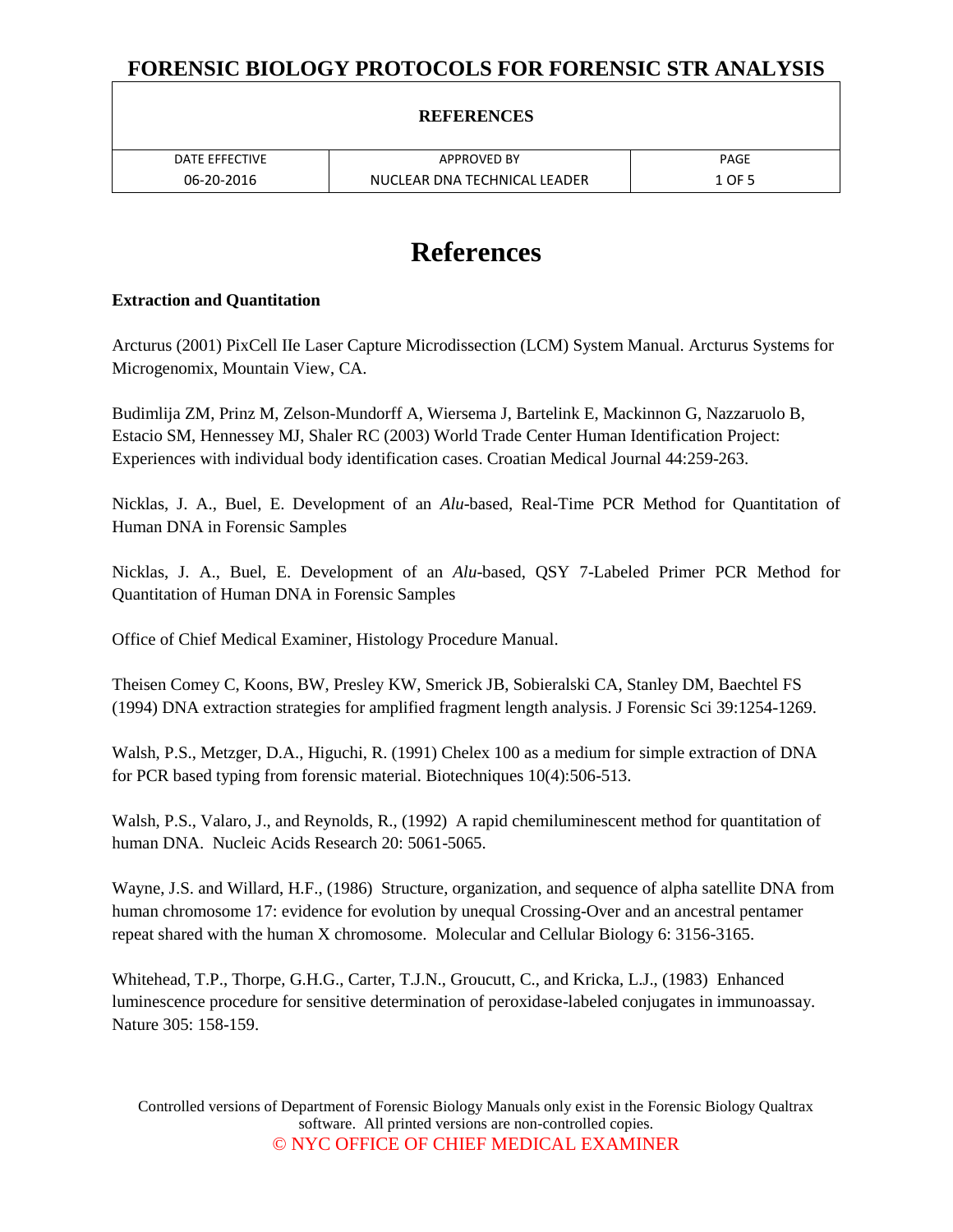| DATE EFFECTIVE | <b>APPROVED BY</b>           | PAGE                |
|----------------|------------------------------|---------------------|
| 06-20-2016     | NUCLEAR DNA TECHNICAL LEADER | $\perp$ OF $\Gamma$ |

# **References**

#### **Extraction and Quantitation**

Arcturus (2001) PixCell IIe Laser Capture Microdissection (LCM) System Manual. Arcturus Systems for Microgenomix, Mountain View, CA.

Budimlija ZM, Prinz M, Zelson-Mundorff A, Wiersema J, Bartelink E, Mackinnon G, Nazzaruolo B, Estacio SM, Hennessey MJ, Shaler RC (2003) World Trade Center Human Identification Project: Experiences with individual body identification cases. Croatian Medical Journal 44:259-263.

Nicklas, J. A., Buel, E. Development of an *Alu*-based, Real-Time PCR Method for Quantitation of Human DNA in Forensic Samples

Nicklas, J. A., Buel, E. Development of an *Alu*-based, QSY 7-Labeled Primer PCR Method for Quantitation of Human DNA in Forensic Samples

Office of Chief Medical Examiner, Histology Procedure Manual.

Theisen Comey C, Koons, BW, Presley KW, Smerick JB, Sobieralski CA, Stanley DM, Baechtel FS (1994) DNA extraction strategies for amplified fragment length analysis. J Forensic Sci 39:1254-1269.

Walsh, P.S., Metzger, D.A., Higuchi, R. (1991) Chelex 100 as a medium for simple extraction of DNA for PCR based typing from forensic material. Biotechniques 10(4):506-513.

Walsh, P.S., Valaro, J., and Reynolds, R., (1992) A rapid chemiluminescent method for quantitation of human DNA. Nucleic Acids Research 20: 5061-5065.

Wayne, J.S. and Willard, H.F., (1986) Structure, organization, and sequence of alpha satellite DNA from human chromosome 17: evidence for evolution by unequal Crossing-Over and an ancestral pentamer repeat shared with the human X chromosome. Molecular and Cellular Biology 6: 3156-3165.

Whitehead, T.P., Thorpe, G.H.G., Carter, T.J.N., Groucutt, C., and Kricka, L.J., (1983) Enhanced luminescence procedure for sensitive determination of peroxidase-labeled conjugates in immunoassay. Nature 305: 158-159.

Controlled versions of Department of Forensic Biology Manuals only exist in the Forensic Biology Qualtrax software. All printed versions are non-controlled copies. © NYC OFFICE OF CHIEF MEDICAL EXAMINER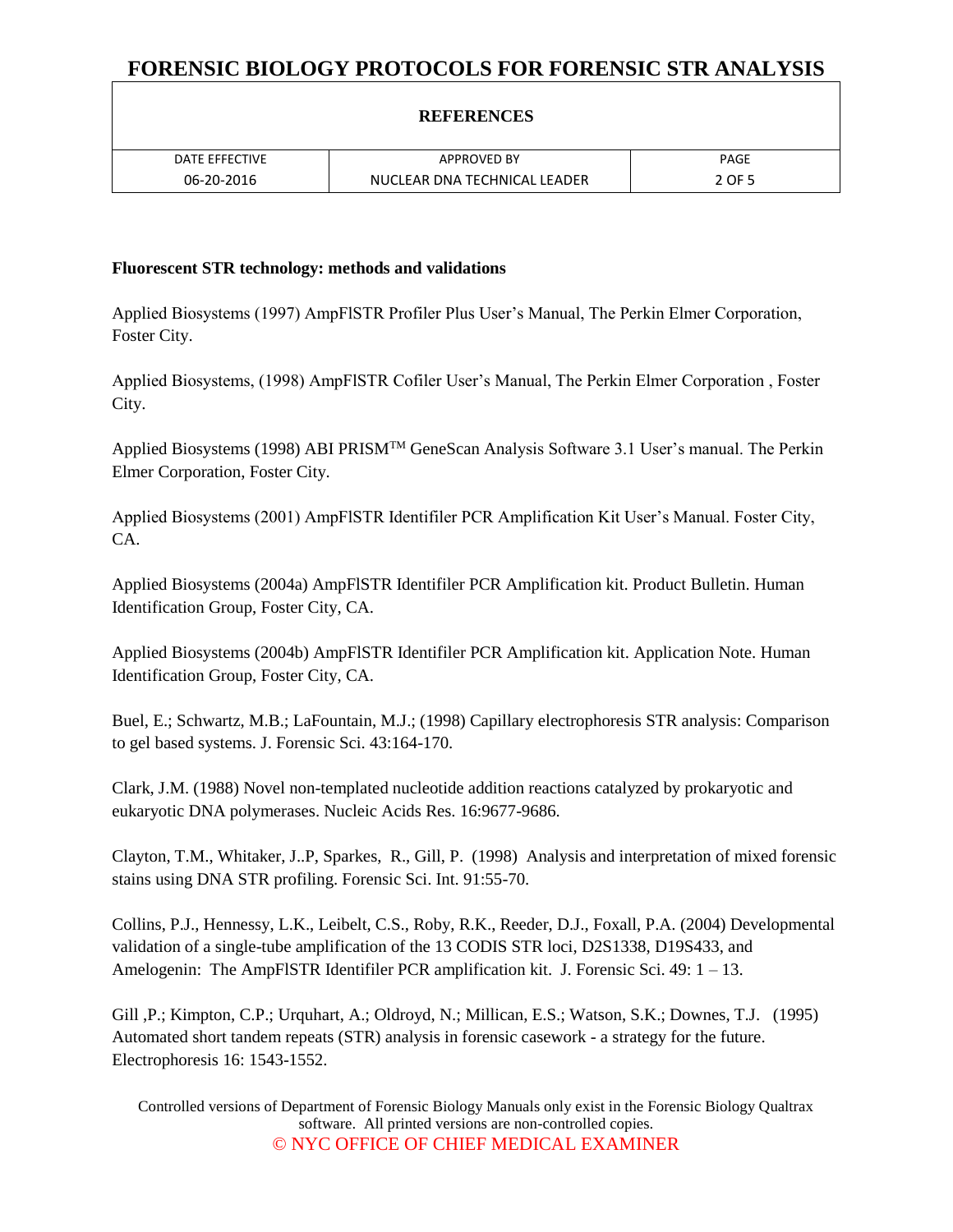### **REFERENCES**

| DATE EFFECTIVE | <b>APPROVED BY</b>           | PAGE   |
|----------------|------------------------------|--------|
| 06-20-2016     | NUCLEAR DNA TECHNICAL LEADER | 2 OF 5 |

#### **Fluorescent STR technology: methods and validations**

Applied Biosystems (1997) AmpFlSTR Profiler Plus User's Manual, The Perkin Elmer Corporation, Foster City.

Applied Biosystems, (1998) AmpFlSTR Cofiler User's Manual, The Perkin Elmer Corporation , Foster City.

Applied Biosystems (1998) ABI PRISM<sup>™</sup> GeneScan Analysis Software 3.1 User's manual. The Perkin Elmer Corporation, Foster City.

Applied Biosystems (2001) AmpFlSTR Identifiler PCR Amplification Kit User's Manual. Foster City, CA.

Applied Biosystems (2004a) AmpFlSTR Identifiler PCR Amplification kit. Product Bulletin. Human Identification Group, Foster City, CA.

Applied Biosystems (2004b) AmpFlSTR Identifiler PCR Amplification kit. Application Note. Human Identification Group, Foster City, CA.

Buel, E.; Schwartz, M.B.; LaFountain, M.J.; (1998) Capillary electrophoresis STR analysis: Comparison to gel based systems. J. Forensic Sci. 43:164-170.

Clark, J.M. (1988) Novel non-templated nucleotide addition reactions catalyzed by prokaryotic and eukaryotic DNA polymerases. Nucleic Acids Res. 16:9677-9686.

Clayton, T.M., Whitaker, J..P, Sparkes, R., Gill, P. (1998) Analysis and interpretation of mixed forensic stains using DNA STR profiling. Forensic Sci. Int. 91:55-70.

Collins, P.J., Hennessy, L.K., Leibelt, C.S., Roby, R.K., Reeder, D.J., Foxall, P.A. (2004) Developmental validation of a single-tube amplification of the 13 CODIS STR loci, D2S1338, D19S433, and Amelogenin: The AmpFlSTR Identifiler PCR amplification kit. J. Forensic Sci. 49: 1 – 13.

Gill ,P.; Kimpton, C.P.; Urquhart, A.; Oldroyd, N.; Millican, E.S.; Watson, S.K.; Downes, T.J. (1995) Automated short tandem repeats (STR) analysis in forensic casework - a strategy for the future. Electrophoresis 16: 1543-1552.

Controlled versions of Department of Forensic Biology Manuals only exist in the Forensic Biology Qualtrax software. All printed versions are non-controlled copies. © NYC OFFICE OF CHIEF MEDICAL EXAMINER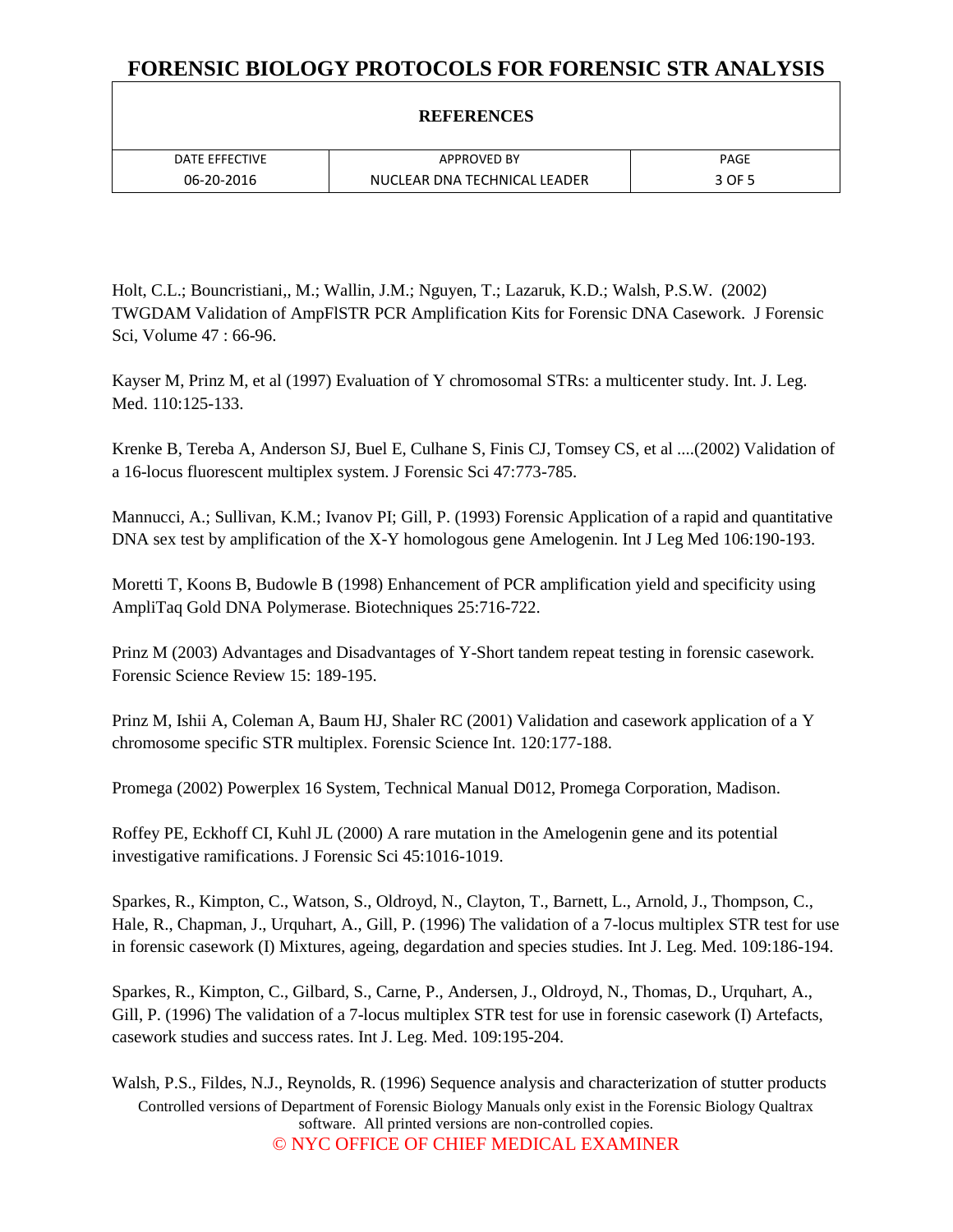### **REFERENCES**

| DATE EFFECTIVE | <b>APPROVED BY</b>           | PAGE   |
|----------------|------------------------------|--------|
| 06-20-2016     | NUCLEAR DNA TECHNICAL LEADER | 3 OF 5 |

Holt, C.L.; Bouncristiani,, M.; Wallin, J.M.; Nguyen, T.; Lazaruk, K.D.; Walsh, P.S.W. (2002) TWGDAM Validation of AmpFlSTR PCR Amplification Kits for Forensic DNA Casework. J Forensic Sci, Volume 47 : 66-96.

Kayser M, Prinz M, et al (1997) Evaluation of Y chromosomal STRs: a multicenter study. Int. J. Leg. Med. 110:125-133.

Krenke B, Tereba A, Anderson SJ, Buel E, Culhane S, Finis CJ, Tomsey CS, et al ....(2002) Validation of a 16-locus fluorescent multiplex system. J Forensic Sci 47:773-785.

Mannucci, A.; Sullivan, K.M.; Ivanov PI; Gill, P. (1993) Forensic Application of a rapid and quantitative DNA sex test by amplification of the X-Y homologous gene Amelogenin. Int J Leg Med 106:190-193.

Moretti T, Koons B, Budowle B (1998) Enhancement of PCR amplification yield and specificity using AmpliTaq Gold DNA Polymerase. Biotechniques 25:716-722.

Prinz M (2003) Advantages and Disadvantages of Y-Short tandem repeat testing in forensic casework. Forensic Science Review 15: 189-195.

Prinz M, Ishii A, Coleman A, Baum HJ, Shaler RC (2001) Validation and casework application of a Y chromosome specific STR multiplex. Forensic Science Int. 120:177-188.

Promega (2002) Powerplex 16 System, Technical Manual D012, Promega Corporation, Madison.

Roffey PE, Eckhoff CI, Kuhl JL (2000) A rare mutation in the Amelogenin gene and its potential investigative ramifications. J Forensic Sci 45:1016-1019.

Sparkes, R., Kimpton, C., Watson, S., Oldroyd, N., Clayton, T., Barnett, L., Arnold, J., Thompson, C., Hale, R., Chapman, J., Urquhart, A., Gill, P. (1996) The validation of a 7-locus multiplex STR test for use in forensic casework (I) Mixtures, ageing, degardation and species studies. Int J. Leg. Med. 109:186-194.

Sparkes, R., Kimpton, C., Gilbard, S., Carne, P., Andersen, J., Oldroyd, N., Thomas, D., Urquhart, A., Gill, P. (1996) The validation of a 7-locus multiplex STR test for use in forensic casework (I) Artefacts, casework studies and success rates. Int J. Leg. Med. 109:195-204.

Controlled versions of Department of Forensic Biology Manuals only exist in the Forensic Biology Qualtrax software. All printed versions are non-controlled copies. © NYC OFFICE OF CHIEF MEDICAL EXAMINER Walsh, P.S., Fildes, N.J., Reynolds, R. (1996) Sequence analysis and characterization of stutter products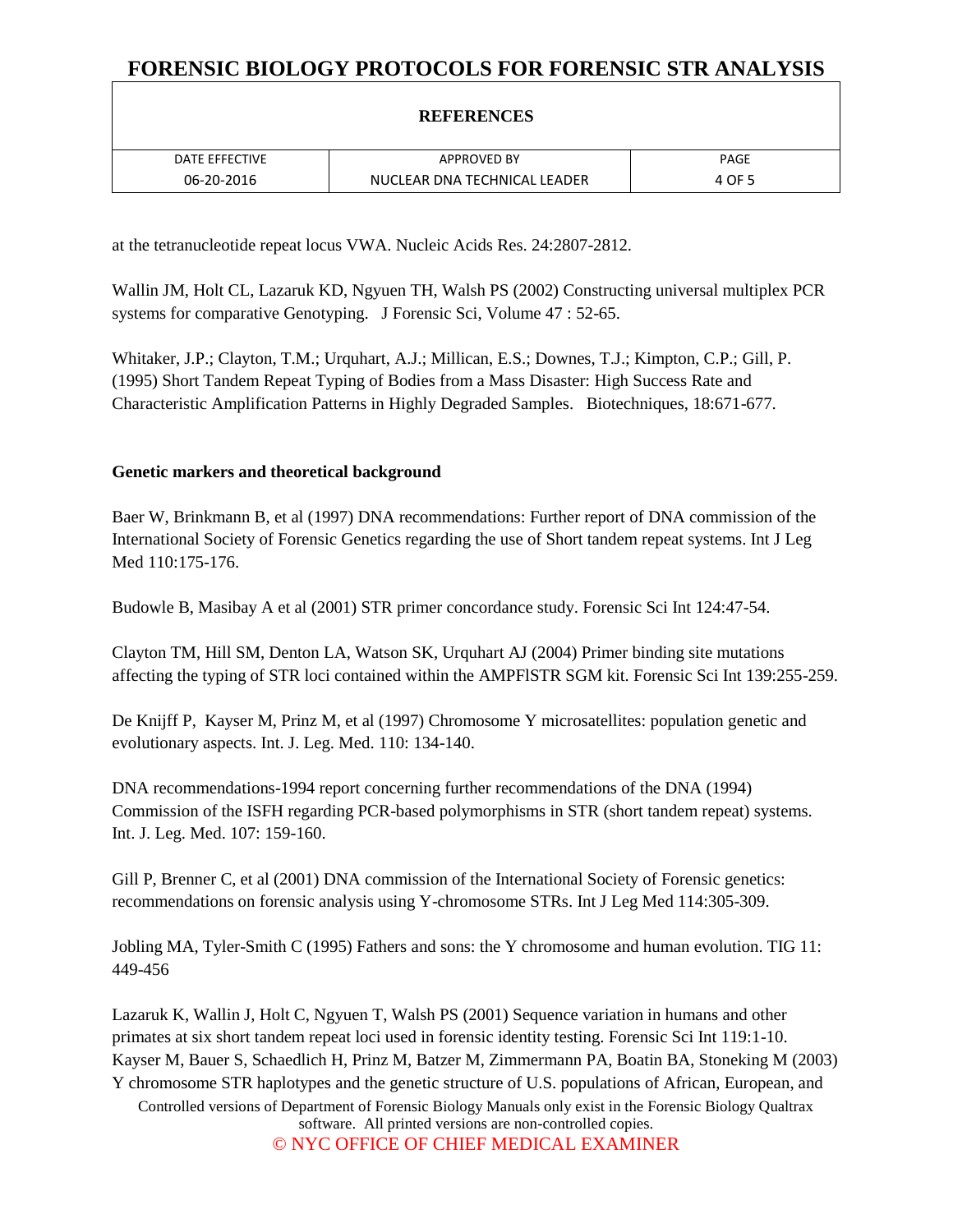## **REFERENCES**

| DATE FFFFCTIVE | <b>APPROVED BY</b>           | PAGE                   |
|----------------|------------------------------|------------------------|
| 06-20-2016     | NUCLEAR DNA TECHNICAL LEADER | $+$ OF $-$<br><u>д</u> |

at the tetranucleotide repeat locus VWA. Nucleic Acids Res. 24:2807-2812.

Wallin JM, Holt CL, Lazaruk KD, Ngyuen TH, Walsh PS (2002) Constructing universal multiplex PCR systems for comparative Genotyping. J Forensic Sci, Volume 47 : 52-65.

Whitaker, J.P.; Clayton, T.M.; Urquhart, A.J.; Millican, E.S.; Downes, T.J.; Kimpton, C.P.; Gill, P. (1995) Short Tandem Repeat Typing of Bodies from a Mass Disaster: High Success Rate and Characteristic Amplification Patterns in Highly Degraded Samples. Biotechniques, 18:671-677.

#### **Genetic markers and theoretical background**

Baer W, Brinkmann B, et al (1997) DNA recommendations: Further report of DNA commission of the International Society of Forensic Genetics regarding the use of Short tandem repeat systems. Int J Leg Med 110:175-176.

Budowle B, Masibay A et al (2001) STR primer concordance study. Forensic Sci Int 124:47-54.

Clayton TM, Hill SM, Denton LA, Watson SK, Urquhart AJ (2004) Primer binding site mutations affecting the typing of STR loci contained within the AMPFlSTR SGM kit. Forensic Sci Int 139:255-259.

De Knijff P, Kayser M, Prinz M, et al (1997) Chromosome Y microsatellites: population genetic and evolutionary aspects. Int. J. Leg. Med. 110: 134-140.

DNA recommendations-1994 report concerning further recommendations of the DNA (1994) Commission of the ISFH regarding PCR-based polymorphisms in STR (short tandem repeat) systems. Int. J. Leg. Med. 107: 159-160.

Gill P, Brenner C, et al (2001) DNA commission of the International Society of Forensic genetics: recommendations on forensic analysis using Y-chromosome STRs. Int J Leg Med 114:305-309.

Jobling MA, Tyler-Smith C (1995) Fathers and sons: the Y chromosome and human evolution. TIG 11: 449-456

Controlled versions of Department of Forensic Biology Manuals only exist in the Forensic Biology Qualtrax software. All printed versions are non-controlled copies. © NYC OFFICE OF CHIEF MEDICAL EXAMINER Lazaruk K, Wallin J, Holt C, Ngyuen T, Walsh PS (2001) Sequence variation in humans and other primates at six short tandem repeat loci used in forensic identity testing. Forensic Sci Int 119:1-10. Kayser M, Bauer S, Schaedlich H, Prinz M, Batzer M, Zimmermann PA, Boatin BA, Stoneking M (2003) Y chromosome STR haplotypes and the genetic structure of U.S. populations of African, European, and